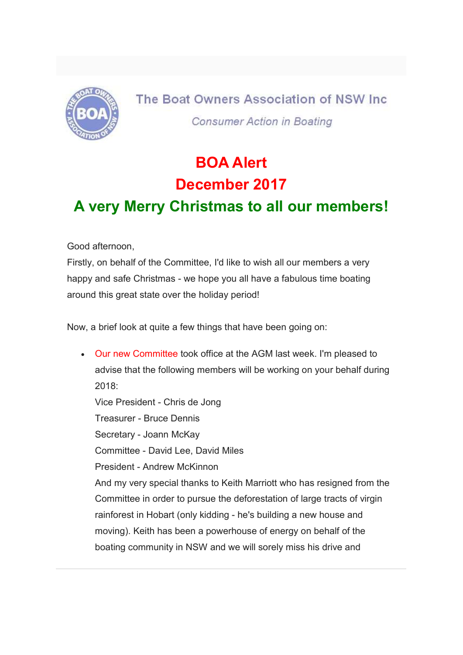

The Boat Owners Association of NSW Inc. **Consumer Action in Boating** 

# BOA Alert December 2017

## A very Merry Christmas to all our members!

Good afternoon,

Firstly, on behalf of the Committee, I'd like to wish all our members a very happy and safe Christmas - we hope you all have a fabulous time boating around this great state over the holiday period!

Now, a brief look at quite a few things that have been going on:

 Our new Committee took office at the AGM last week. I'm pleased to advise that the following members will be working on your behalf during 2018: Vice President - Chris de Jong Treasurer - Bruce Dennis Secretary - Joann McKay Committee - David Lee, David Miles President - Andrew McKinnon And my very special thanks to Keith Marriott who has resigned from the Committee in order to pursue the deforestation of large tracts of virgin rainforest in Hobart (only kidding - he's building a new house and moving). Keith has been a powerhouse of energy on behalf of the boating community in NSW and we will sorely miss his drive and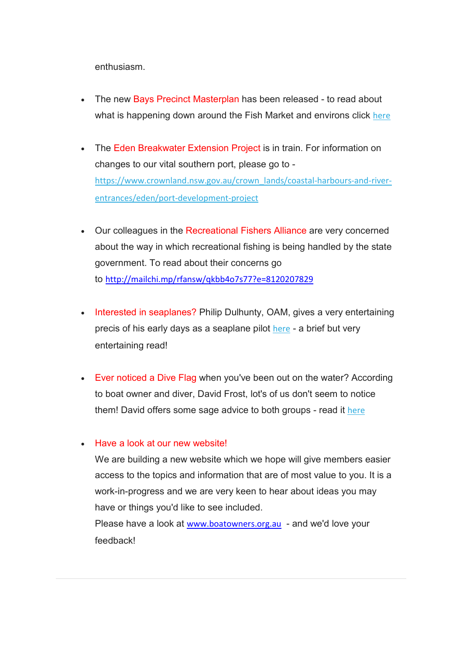enthusiasm.

- The new Bays Precinct Masterplan has been released to read about what is happening down around the Fish Market and environs click here
- The Eden Breakwater Extension Project is in train. For information on changes to our vital southern port, please go to https://www.crownland.nsw.gov.au/crown\_lands/coastal-harbours-and-riverentrances/eden/port-development-project
- Our colleagues in the Recreational Fishers Alliance are very concerned about the way in which recreational fishing is being handled by the state government. To read about their concerns go to http://mailchi.mp/rfansw/qkbb4o7s77?e=8120207829
- Interested in seaplanes? Philip Dulhunty, OAM, gives a very entertaining precis of his early days as a seaplane pilot here - a brief but very entertaining read!
- Ever noticed a Dive Flag when you've been out on the water? According to boat owner and diver, David Frost, lot's of us don't seem to notice them! David offers some sage advice to both groups - read it here

### • Have a look at our new website!

We are building a new website which we hope will give members easier access to the topics and information that are of most value to you. It is a work-in-progress and we are very keen to hear about ideas you may have or things you'd like to see included.

Please have a look at www.boatowners.org.au - and we'd love your feedback!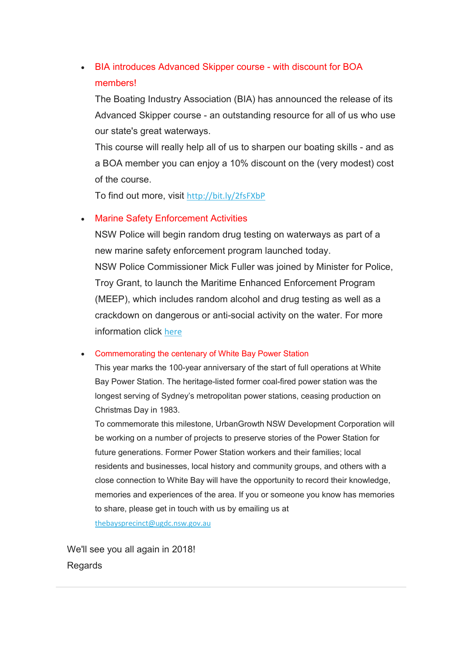### BIA introduces Advanced Skipper course - with discount for BOA members!

The Boating Industry Association (BIA) has announced the release of its Advanced Skipper course - an outstanding resource for all of us who use our state's great waterways.

This course will really help all of us to sharpen our boating skills - and as a BOA member you can enjoy a 10% discount on the (very modest) cost of the course.

To find out more, visit http://bit.ly/2fsFXbP

### • Marine Safety Enforcement Activities

NSW Police will begin random drug testing on waterways as part of a new marine safety enforcement program launched today. NSW Police Commissioner Mick Fuller was joined by Minister for Police, Troy Grant, to launch the Maritime Enhanced Enforcement Program (MEEP), which includes random alcohol and drug testing as well as a crackdown on dangerous or anti-social activity on the water. For more information click here

### Commemorating the centenary of White Bay Power Station

This year marks the 100-year anniversary of the start of full operations at White Bay Power Station. The heritage-listed former coal-fired power station was the longest serving of Sydney's metropolitan power stations, ceasing production on Christmas Day in 1983.

To commemorate this milestone, UrbanGrowth NSW Development Corporation will be working on a number of projects to preserve stories of the Power Station for future generations. Former Power Station workers and their families; local residents and businesses, local history and community groups, and others with a close connection to White Bay will have the opportunity to record their knowledge, memories and experiences of the area. If you or someone you know has memories to share, please get in touch with us by emailing us at

thebaysprecinct@ugdc.nsw.gov.au

We'll see you all again in 2018! Regards